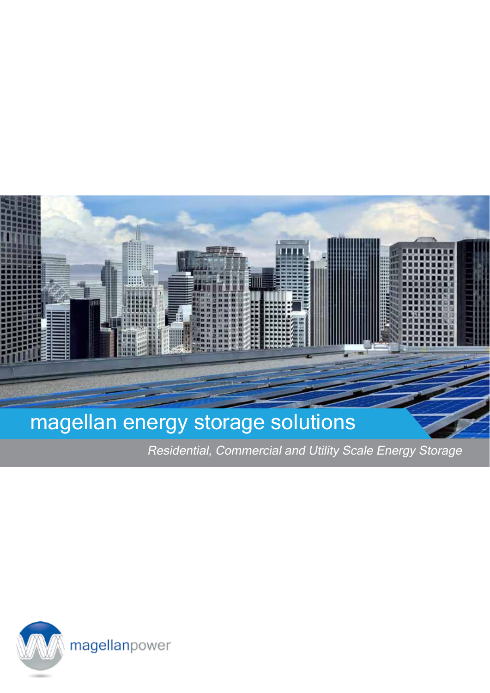

Residential, Commercial and Utility Scale Energy Storage

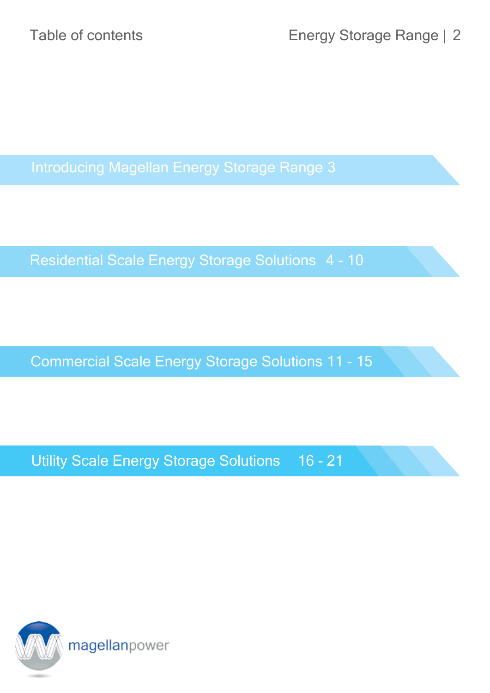Introducing Magellan Energy Storage Range 3

Residential Scale Energy Storage Solutions 4 - 10

Commercial Scale Energy Storage Solutions 11 - 15

Utility Scale Energy Storage Solutions 16 - 21

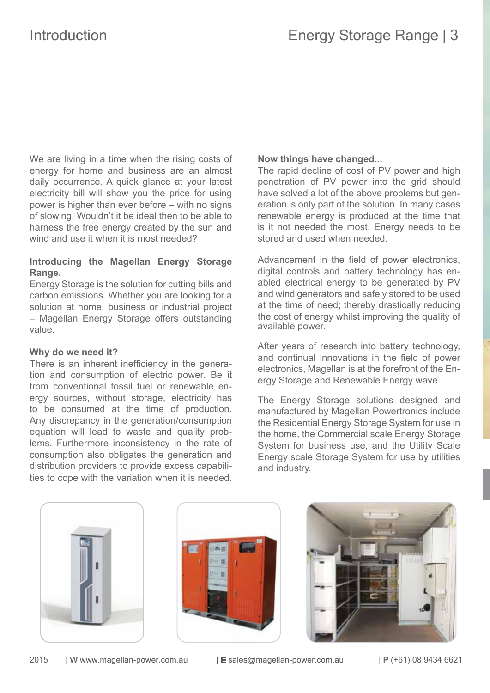We are living in a time when the rising costs of energy for home and business are an almost daily occurrence. A quick glance at your latest electricity bill will show you the price for using power is higher than ever before – with no signs of slowing. Wouldn't it be ideal then to be able to harness the free energy created by the sun and wind and use it when it is most needed?

### **Introducing the Magellan Energy Storage Range.**

Energy Storage is the solution for cutting bills and carbon emissions. Whether you are looking for a solution at home, business or industrial project – Magellan Energy Storage offers outstanding value.

### **Why do we need it?**

There is an inherent inefficiency in the generation and consumption of electric power. Be it from conventional fossil fuel or renewable energy sources, without storage, electricity has to be consumed at the time of production. Any discrepancy in the generation/consumption equation will lead to waste and quality problems. Furthermore inconsistency in the rate of consumption also obligates the generation and distribution providers to provide excess capabilities to cope with the variation when it is needed.

### **Now things have changed...**

The rapid decline of cost of PV power and high penetration of PV power into the grid should have solved a lot of the above problems but generation is only part of the solution. In many cases renewable energy is produced at the time that is it not needed the most. Energy needs to be stored and used when needed.

Advancement in the field of power electronics. digital controls and battery technology has enabled electrical energy to be generated by PV and wind generators and safely stored to be used at the time of need; thereby drastically reducing the cost of energy whilst improving the quality of available power.

After years of research into battery technology, and continual innovations in the feld of power electronics, Magellan is at the forefront of the Energy Storage and Renewable Energy wave.

The Energy Storage solutions designed and manufactured by Magellan Powertronics include the Residential Energy Storage System for use in the home, the Commercial scale Energy Storage System for business use, and the Utility Scale Energy scale Storage System for use by utilities and industry.





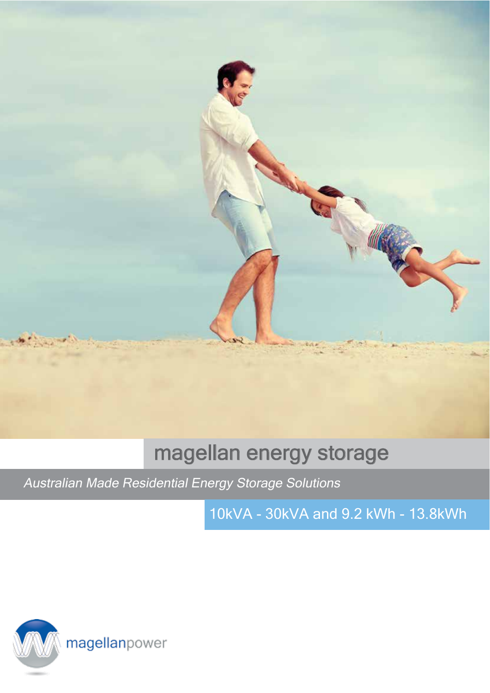

## magellan energy storage

Australian Made Residential Energy Storage Solutions

10kVA - 30kVA and 9.2 kWh - 13.8kWh

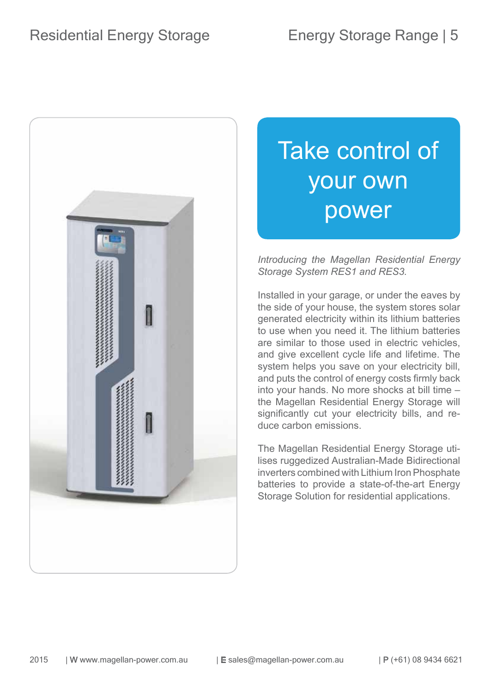

# Take control of your own power

*Introducing the Magellan Residential Energy Storage System RES1 and RES3.*

Installed in your garage, or under the eaves by the side of your house, the system stores solar generated electricity within its lithium batteries to use when you need it. The lithium batteries are similar to those used in electric vehicles, and give excellent cycle life and lifetime. The system helps you save on your electricity bill, and puts the control of energy costs frmly back into your hands. No more shocks at bill time – the Magellan Residential Energy Storage will significantly cut your electricity bills, and reduce carbon emissions.

The Magellan Residential Energy Storage utilises ruggedized Australian-Made Bidirectional inverters combined with Lithium Iron Phosphate batteries to provide a state-of-the-art Energy Storage Solution for residential applications.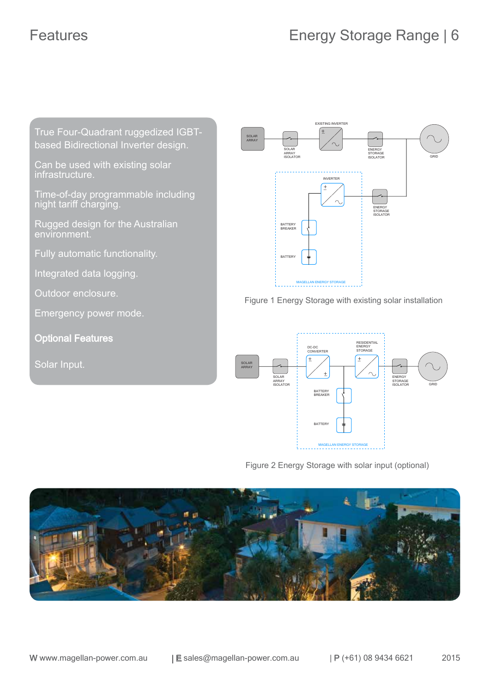True Four-Quadrant ruggedized IGBTbased Bidirectional Inverter design.

Can be used with existing solar infrastructure.

Time-of-day programmable including night tariff charging.

Rugged design for the Australian environment.

Fully automatic functionality.

Integrated data logging.

Outdoor enclosure.

Emergency power mode.

Optional Features

Solar Input.



Figure 1 Energy Storage with existing solar installation



Figure 2 Energy Storage with solar input (optional)

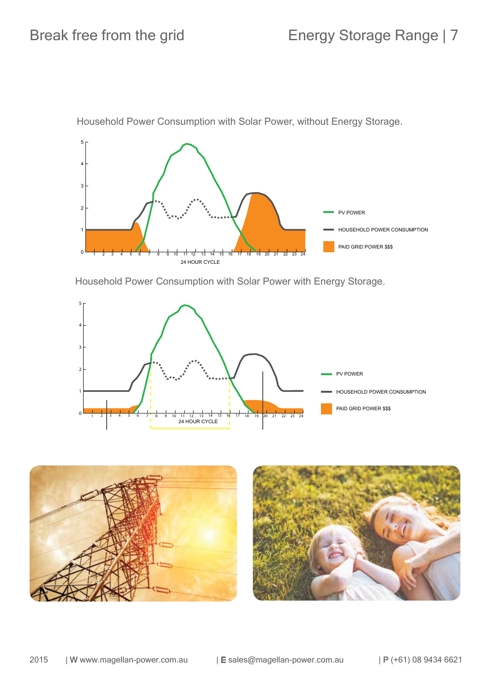

Household Power Consumption with Solar Power, without Energy Storage.

Household Power Consumption with Solar Power with Energy Storage.



![](_page_7_Picture_6.jpeg)

![](_page_7_Picture_7.jpeg)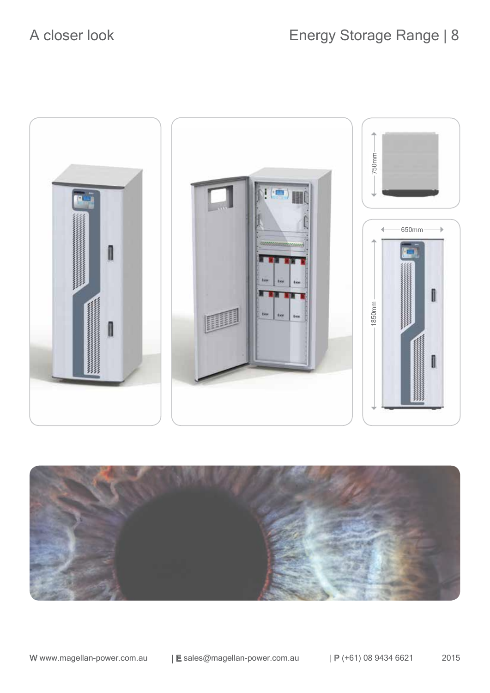![](_page_8_Picture_2.jpeg)

![](_page_8_Picture_3.jpeg)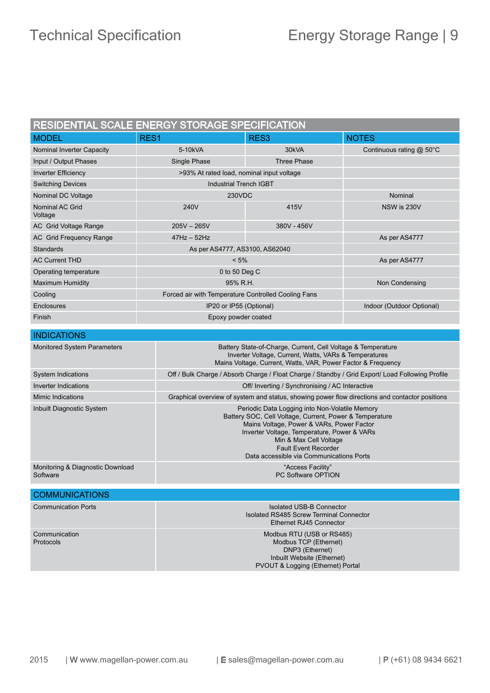| RESIDENTIAL SCALE ENERGY STORAGE SPECIFICATION                                                                             |                                                                                                                                                                                       |                                                                                                                                                                                                                                                                                                            |                          |
|----------------------------------------------------------------------------------------------------------------------------|---------------------------------------------------------------------------------------------------------------------------------------------------------------------------------------|------------------------------------------------------------------------------------------------------------------------------------------------------------------------------------------------------------------------------------------------------------------------------------------------------------|--------------------------|
| <b>MODEL</b>                                                                                                               | RES1                                                                                                                                                                                  | RES <sub>3</sub>                                                                                                                                                                                                                                                                                           | <b>NOTES</b>             |
| Nominal Inverter Capacity                                                                                                  | 5-10kVA                                                                                                                                                                               | 30kVA                                                                                                                                                                                                                                                                                                      | Continuous rating @ 50°C |
| Input / Output Phases                                                                                                      | Single Phase                                                                                                                                                                          | <b>Three Phase</b>                                                                                                                                                                                                                                                                                         |                          |
| <b>Inverter Efficiency</b>                                                                                                 |                                                                                                                                                                                       | >93% At rated load, nominal input voltage                                                                                                                                                                                                                                                                  |                          |
| <b>Switching Devices</b>                                                                                                   |                                                                                                                                                                                       | <b>Industrial Trench IGBT</b>                                                                                                                                                                                                                                                                              |                          |
| Nominal DC Voltage                                                                                                         |                                                                                                                                                                                       | <b>230VDC</b>                                                                                                                                                                                                                                                                                              |                          |
| Nominal AC Grid<br>Voltage                                                                                                 | 240V                                                                                                                                                                                  | 415V                                                                                                                                                                                                                                                                                                       | NSW is 230V              |
| AC Grid Voltage Range                                                                                                      | $205V - 265V$                                                                                                                                                                         | 380V - 456V                                                                                                                                                                                                                                                                                                |                          |
| AC Grid Frequency Range                                                                                                    | $47$ Hz $-52$ Hz                                                                                                                                                                      |                                                                                                                                                                                                                                                                                                            | As per AS4777            |
| Standards                                                                                                                  | As per AS4777, AS3100, AS62040                                                                                                                                                        |                                                                                                                                                                                                                                                                                                            |                          |
| <b>AC Current THD</b>                                                                                                      | $< 5\%$                                                                                                                                                                               |                                                                                                                                                                                                                                                                                                            | As per AS4777            |
| Operating temperature                                                                                                      | 0 to 50 Deg C                                                                                                                                                                         |                                                                                                                                                                                                                                                                                                            |                          |
| <b>Maximum Humidity</b>                                                                                                    | 95% R.H.                                                                                                                                                                              |                                                                                                                                                                                                                                                                                                            | Non Condensing           |
| Cooling                                                                                                                    |                                                                                                                                                                                       | Forced air with Temperature Controlled Cooling Fans                                                                                                                                                                                                                                                        |                          |
| Enclosures                                                                                                                 |                                                                                                                                                                                       | IP20 or IP55 (Optional)                                                                                                                                                                                                                                                                                    |                          |
| Finish                                                                                                                     |                                                                                                                                                                                       | Epoxy powder coated                                                                                                                                                                                                                                                                                        |                          |
| <b>INDICATIONS</b>                                                                                                         |                                                                                                                                                                                       |                                                                                                                                                                                                                                                                                                            |                          |
| <b>Monitored System Parameters</b>                                                                                         | Battery State-of-Charge, Current, Cell Voltage & Temperature<br>Inverter Voltage, Current, Watts, VARs & Temperatures<br>Mains Voltage, Current, Watts, VAR, Power Factor & Frequency |                                                                                                                                                                                                                                                                                                            |                          |
| <b>System Indications</b>                                                                                                  | Off / Bulk Charge / Absorb Charge / Float Charge / Standby / Grid Export/ Load Following Profile                                                                                      |                                                                                                                                                                                                                                                                                                            |                          |
| Inverter Indications                                                                                                       |                                                                                                                                                                                       | Off/ Inverting / Synchronising / AC Interactive                                                                                                                                                                                                                                                            |                          |
| <b>Mimic Indications</b><br>Graphical overview of system and status, showing power flow directions and contactor positions |                                                                                                                                                                                       |                                                                                                                                                                                                                                                                                                            |                          |
| Inbuilt Diagnostic System                                                                                                  |                                                                                                                                                                                       | Periodic Data Logging into Non-Volatile Memory<br>Battery SOC, Cell Voltage, Current, Power & Temperature<br>Mains Voltage, Power & VARs, Power Factor<br>Inverter Voltage, Temperature, Power & VARs<br>Min & Max Cell Voltage<br><b>Fault Event Recorder</b><br>Data accessible via Communications Ports |                          |
| Monitoring & Diagnostic Download<br>Software                                                                               |                                                                                                                                                                                       | "Access Facility"<br>PC Software OPTION                                                                                                                                                                                                                                                                    |                          |
| <b>COMMUNICATIONS</b>                                                                                                      |                                                                                                                                                                                       |                                                                                                                                                                                                                                                                                                            |                          |
| <b>Communication Ports</b>                                                                                                 |                                                                                                                                                                                       | <b>Isolated USB-B Connector</b><br>Isolated RS485 Screw Terminal Connector<br>Ethernet RJ45 Connector                                                                                                                                                                                                      |                          |
| Communication<br>Protocols                                                                                                 |                                                                                                                                                                                       | Modbus RTU (USB or RS485)<br>Modbus TCP (Ethernet)<br>DNP3 (Ethernet)<br>Inbuilt Website (Ethernet)<br>PVOUT & Logging (Ethernet) Portal                                                                                                                                                                   |                          |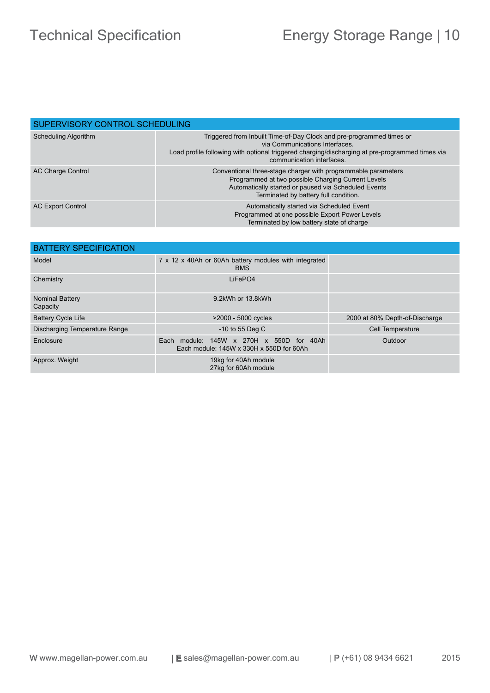| SUPERVISORY CONTROL SCHEDULING |                                                                                                                                                                                                                                        |  |
|--------------------------------|----------------------------------------------------------------------------------------------------------------------------------------------------------------------------------------------------------------------------------------|--|
| <b>Scheduling Algorithm</b>    | Triggered from Inbuilt Time-of-Day Clock and pre-programmed times or<br>via Communications Interfaces.<br>Load profile following with optional triggered charging/discharging at pre-programmed times via<br>communication interfaces. |  |
| AC Charge Control              | Conventional three-stage charger with programmable parameters<br>Programmed at two possible Charging Current Levels<br>Automatically started or paused via Scheduled Events<br>Terminated by battery full condition.                   |  |
| <b>AC Export Control</b>       | Automatically started via Scheduled Event<br>Programmed at one possible Export Power Levels<br>Terminated by low battery state of charge                                                                                               |  |

| <b>BATTERY SPECIFICATION</b>       |                                                                                                     |                                |  |
|------------------------------------|-----------------------------------------------------------------------------------------------------|--------------------------------|--|
| Model                              | 7 x 12 x 40Ah or 60Ah battery modules with integrated<br><b>BMS</b>                                 |                                |  |
| Chemistry                          | LiFePO4                                                                                             |                                |  |
| <b>Nominal Battery</b><br>Capacity | 9.2kWh or 13.8kWh                                                                                   |                                |  |
| <b>Battery Cycle Life</b>          | >2000 - 5000 cycles                                                                                 | 2000 at 80% Depth-of-Discharge |  |
| Discharging Temperature Range      | $-10$ to 55 Deg C                                                                                   | Cell Temperature               |  |
| Enclosure                          | module: 145W x 270H x 550D for 40Ah<br>Each<br>Each module: $145W \times 330H \times 550D$ for 60Ah | Outdoor                        |  |
| Approx. Weight                     | 19kg for 40Ah module<br>27kg for 60Ah module                                                        |                                |  |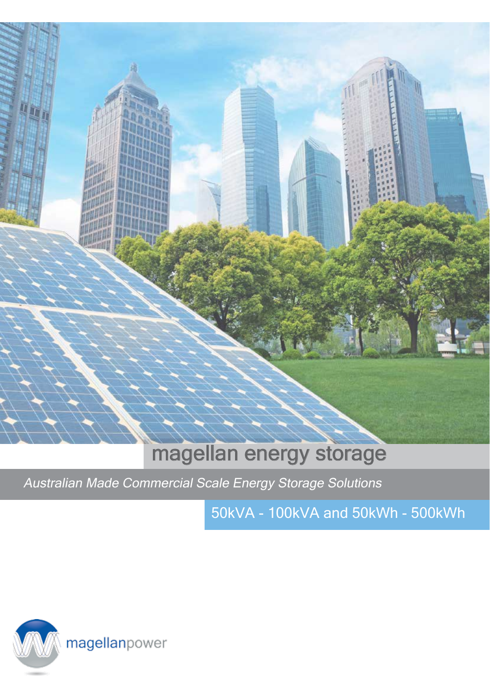![](_page_11_Picture_0.jpeg)

### magellan energy storage

Australian Made Commercial Scale Energy Storage Solutions

50kVA - 100kVA and 50kWh - 500kWh

![](_page_11_Picture_4.jpeg)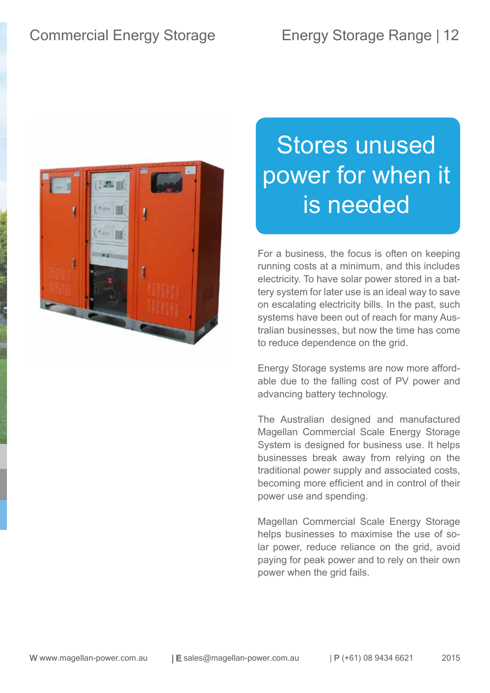![](_page_12_Picture_2.jpeg)

# Stores unused power for when it is needed

For a business, the focus is often on keeping running costs at a minimum, and this includes electricity. To have solar power stored in a battery system for later use is an ideal way to save on escalating electricity bills. In the past, such systems have been out of reach for many Australian businesses, but now the time has come to reduce dependence on the grid.

Energy Storage systems are now more affordable due to the falling cost of PV power and advancing battery technology.

The Australian designed and manufactured Magellan Commercial Scale Energy Storage System is designed for business use. It helps businesses break away from relying on the traditional power supply and associated costs, becoming more efficient and in control of their power use and spending.

Magellan Commercial Scale Energy Storage helps businesses to maximise the use of solar power, reduce reliance on the grid, avoid paying for peak power and to rely on their own power when the grid fails.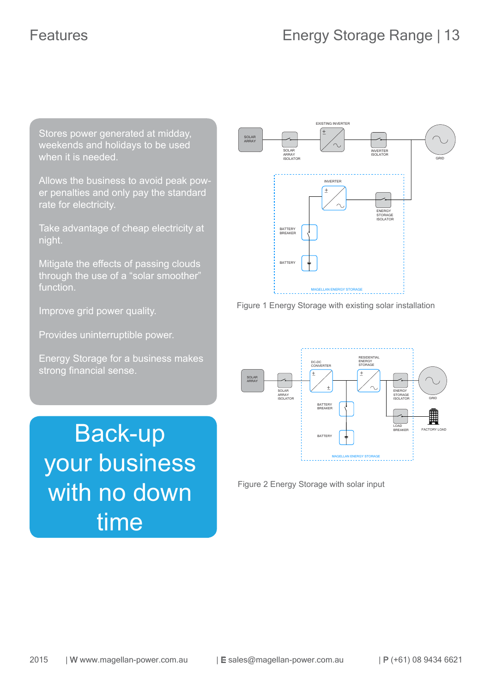Stores power generated at midday, weekends and holidays to be used when it is needed.

Allows the business to avoid peak power penalties and only pay the standard rate for electricity.

Take advantage of cheap electricity at night.

Mitigate the effects of passing clouds through the use of a "solar smoother" function.

Improve grid power quality.

Provides uninterruptible power.

Energy Storage for a business makes strong financial sense.

Back-up your business with no down time

![](_page_13_Figure_10.jpeg)

![](_page_13_Figure_11.jpeg)

![](_page_13_Figure_12.jpeg)

Figure 2 Energy Storage with solar input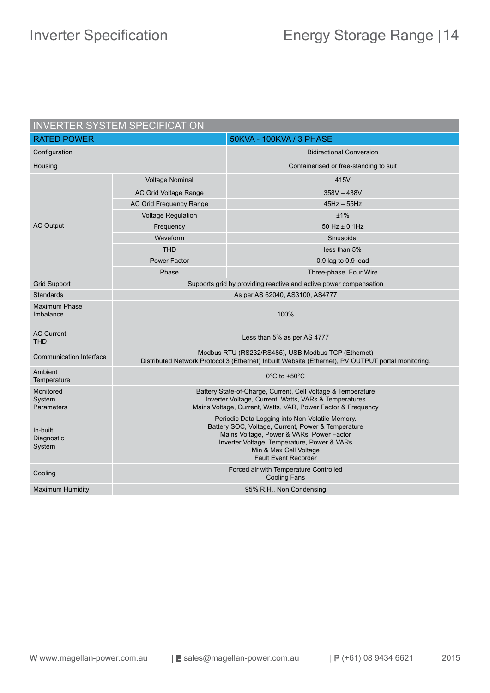| <b>INVERTER SYSTEM SPECIFICATION</b> |                                                                                                                                                                                                                                                            |                                                                   |  |
|--------------------------------------|------------------------------------------------------------------------------------------------------------------------------------------------------------------------------------------------------------------------------------------------------------|-------------------------------------------------------------------|--|
| <b>RATED POWER</b>                   |                                                                                                                                                                                                                                                            | 50KVA - 100KVA / 3 PHASE                                          |  |
| Configuration                        |                                                                                                                                                                                                                                                            | <b>Bidirectional Conversion</b>                                   |  |
| Housing                              |                                                                                                                                                                                                                                                            | Containerised or free-standing to suit                            |  |
|                                      | <b>Voltage Nominal</b>                                                                                                                                                                                                                                     | 415V                                                              |  |
|                                      | <b>AC Grid Voltage Range</b>                                                                                                                                                                                                                               | $358V - 438V$                                                     |  |
|                                      | <b>AC Grid Frequency Range</b>                                                                                                                                                                                                                             | $45Hz - 55Hz$                                                     |  |
|                                      | <b>Voltage Regulation</b>                                                                                                                                                                                                                                  | ±1%                                                               |  |
| <b>AC Output</b>                     | Frequency                                                                                                                                                                                                                                                  | $50$ Hz $\pm$ 0.1Hz                                               |  |
|                                      | Waveform                                                                                                                                                                                                                                                   | Sinusoidal                                                        |  |
|                                      | <b>THD</b>                                                                                                                                                                                                                                                 | less than 5%                                                      |  |
|                                      | <b>Power Factor</b>                                                                                                                                                                                                                                        | 0.9 lag to 0.9 lead                                               |  |
|                                      | Phase                                                                                                                                                                                                                                                      | Three-phase, Four Wire                                            |  |
| <b>Grid Support</b>                  |                                                                                                                                                                                                                                                            | Supports grid by providing reactive and active power compensation |  |
| <b>Standards</b>                     | As per AS 62040, AS3100, AS4777                                                                                                                                                                                                                            |                                                                   |  |
| <b>Maximum Phase</b><br>Imbalance    | 100%                                                                                                                                                                                                                                                       |                                                                   |  |
| <b>AC Current</b><br><b>THD</b>      | Less than 5% as per AS 4777                                                                                                                                                                                                                                |                                                                   |  |
| <b>Communication Interface</b>       | Modbus RTU (RS232/RS485), USB Modbus TCP (Ethernet)<br>Distributed Network Protocol 3 (Ethernet) Inbuilt Website (Ethernet), PV OUTPUT portal monitoring.                                                                                                  |                                                                   |  |
| Ambient<br>Temperature               | $0^{\circ}$ C to +50 $^{\circ}$ C                                                                                                                                                                                                                          |                                                                   |  |
| Monitored<br>System<br>Parameters    | Battery State-of-Charge, Current, Cell Voltage & Temperature<br>Inverter Voltage, Current, Watts, VARs & Temperatures<br>Mains Voltage, Current, Watts, VAR, Power Factor & Frequency                                                                      |                                                                   |  |
| In-built<br>Diagnostic<br>System     | Periodic Data Logging into Non-Volatile Memory.<br>Battery SOC, Voltage, Current, Power & Temperature<br>Mains Voltage, Power & VARs, Power Factor<br>Inverter Voltage, Temperature, Power & VARs<br>Min & Max Cell Voltage<br><b>Fault Event Recorder</b> |                                                                   |  |
| Cooling                              | Forced air with Temperature Controlled<br><b>Cooling Fans</b>                                                                                                                                                                                              |                                                                   |  |
| <b>Maximum Humidity</b>              | 95% R.H., Non Condensing                                                                                                                                                                                                                                   |                                                                   |  |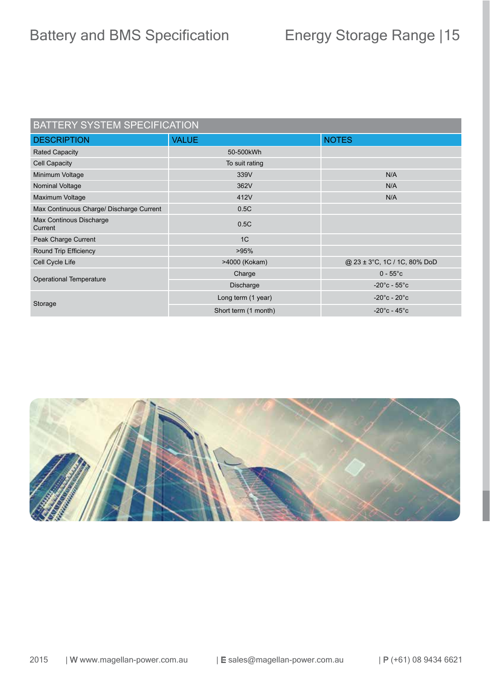### BATTERY SYSTEM SPECIFICATION

| <b>DESCRIPTION</b>                       | <b>VALUE</b>         | <b>NOTES</b>                      |
|------------------------------------------|----------------------|-----------------------------------|
| <b>Rated Capacity</b>                    | 50-500kWh            |                                   |
| Cell Capacity                            | To suit rating       |                                   |
| Minimum Voltage                          | 339V                 | N/A                               |
| Nominal Voltage                          | 362V                 | N/A                               |
| Maximum Voltage                          | 412V                 | N/A                               |
| Max Continuous Charge/ Discharge Current | 0.5C                 |                                   |
| Max Continous Discharge<br>Current       | 0.5C                 |                                   |
| Peak Charge Current                      | 1 <sup>C</sup>       |                                   |
| Round Trip Efficiency                    | >95%                 |                                   |
| Cell Cycle Life                          | >4000 (Kokam)        | @ 23 ± 3°C, 1C / 1C, 80% DoD      |
|                                          | Charge               | $0 - 55^{\circ}c$                 |
| Operational Temperature                  | Discharge            | $-20^{\circ}$ c - 55 $^{\circ}$ c |
| Storage                                  | Long term (1 year)   | $-20^{\circ}$ c - 20 $^{\circ}$ c |
|                                          | Short term (1 month) | $-20^{\circ}$ c - 45 $^{\circ}$ c |
|                                          |                      |                                   |

![](_page_15_Picture_4.jpeg)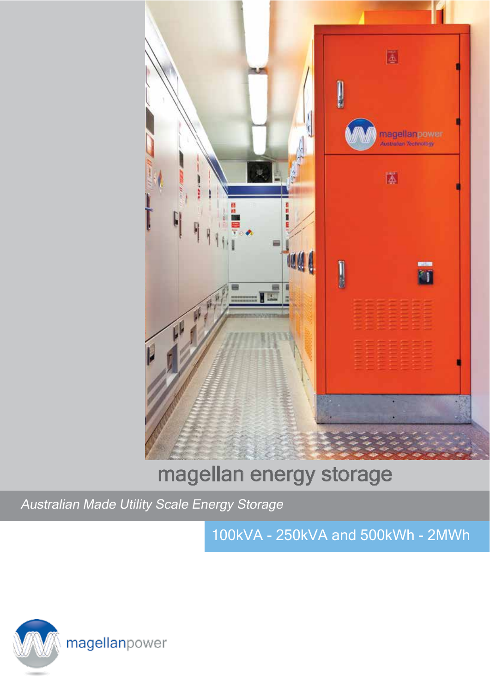![](_page_16_Picture_0.jpeg)

## magellan energy storage

Australian Made Utility Scale Energy Storage

100kVA - 250kVA and 500kWh - 2MWh

![](_page_16_Picture_4.jpeg)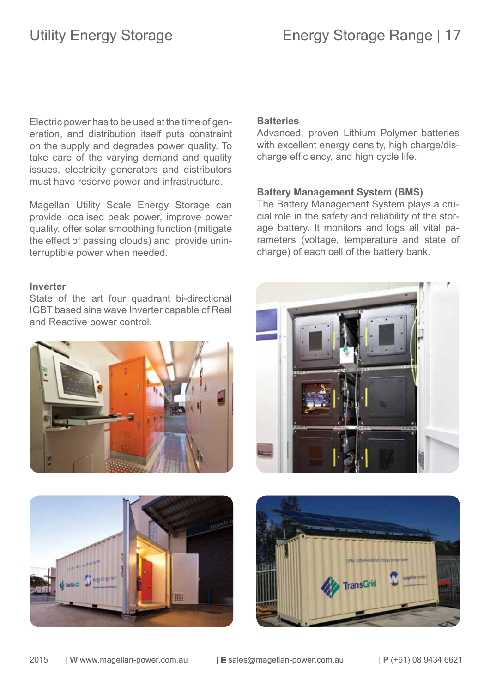Electric power has to be used at the time of generation, and distribution itself puts constraint on the supply and degrades power quality. To take care of the varying demand and quality issues, electricity generators and distributors must have reserve power and infrastructure.

Magellan Utility Scale Energy Storage can provide localised peak power, improve power quality, offer solar smoothing function (mitigate the effect of passing clouds) and provide uninterruptible power when needed.

### **Inverter**

State of the art four quadrant bi-directional IGBT based sine wave Inverter capable of Real and Reactive power control.

![](_page_17_Picture_6.jpeg)

### **Batteries**

Advanced, proven Lithium Polymer batteries with excellent energy density, high charge/discharge efficiency, and high cycle life.

### **Battery Management System (BMS)**

The Battery Management System plays a crucial role in the safety and reliability of the storage battery. It monitors and logs all vital parameters (voltage, temperature and state of charge) of each cell of the battery bank.

![](_page_17_Picture_11.jpeg)

![](_page_17_Picture_12.jpeg)

![](_page_17_Picture_13.jpeg)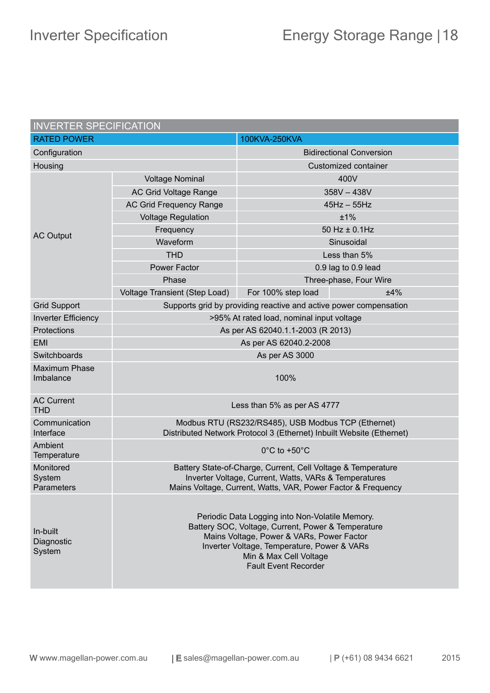| <b>INVERTER SPECIFICATION</b>     |                                                                                                                                                                                                                                                            |                                 |  |
|-----------------------------------|------------------------------------------------------------------------------------------------------------------------------------------------------------------------------------------------------------------------------------------------------------|---------------------------------|--|
| <b>RATED POWER</b>                |                                                                                                                                                                                                                                                            | 100KVA-250KVA                   |  |
| Configuration                     |                                                                                                                                                                                                                                                            | <b>Bidirectional Conversion</b> |  |
| Housing                           |                                                                                                                                                                                                                                                            | Customized container            |  |
|                                   | <b>Voltage Nominal</b>                                                                                                                                                                                                                                     | 400V                            |  |
|                                   | <b>AC Grid Voltage Range</b>                                                                                                                                                                                                                               | $358V - 438V$                   |  |
| <b>AC Output</b>                  | <b>AC Grid Frequency Range</b>                                                                                                                                                                                                                             | $45Hz - 55Hz$                   |  |
|                                   | <b>Voltage Regulation</b>                                                                                                                                                                                                                                  | ±1%                             |  |
|                                   | Frequency                                                                                                                                                                                                                                                  | 50 Hz ± 0.1Hz                   |  |
|                                   | Waveform                                                                                                                                                                                                                                                   | Sinusoidal                      |  |
|                                   | <b>THD</b>                                                                                                                                                                                                                                                 | Less than 5%                    |  |
|                                   | <b>Power Factor</b>                                                                                                                                                                                                                                        | 0.9 lag to 0.9 lead             |  |
|                                   | Phase                                                                                                                                                                                                                                                      | Three-phase, Four Wire          |  |
|                                   | Voltage Transient (Step Load)                                                                                                                                                                                                                              | ±4%<br>For 100% step load       |  |
| <b>Grid Support</b>               | Supports grid by providing reactive and active power compensation                                                                                                                                                                                          |                                 |  |
| <b>Inverter Efficiency</b>        | >95% At rated load, nominal input voltage                                                                                                                                                                                                                  |                                 |  |
| Protections                       | As per AS 62040.1.1-2003 (R 2013)                                                                                                                                                                                                                          |                                 |  |
| <b>EMI</b>                        | As per AS 62040.2-2008                                                                                                                                                                                                                                     |                                 |  |
| Switchboards                      | As per AS 3000                                                                                                                                                                                                                                             |                                 |  |
| <b>Maximum Phase</b><br>Imbalance | 100%                                                                                                                                                                                                                                                       |                                 |  |
| <b>AC Current</b><br><b>THD</b>   | Less than 5% as per AS 4777                                                                                                                                                                                                                                |                                 |  |
| Communication<br>Interface        | Modbus RTU (RS232/RS485), USB Modbus TCP (Ethernet)<br>Distributed Network Protocol 3 (Ethernet) Inbuilt Website (Ethernet)                                                                                                                                |                                 |  |
| Ambient<br>Temperature            | $0^{\circ}$ C to +50 $^{\circ}$ C                                                                                                                                                                                                                          |                                 |  |
| Monitored<br>System<br>Parameters | Battery State-of-Charge, Current, Cell Voltage & Temperature<br>Inverter Voltage, Current, Watts, VARs & Temperatures<br>Mains Voltage, Current, Watts, VAR, Power Factor & Frequency                                                                      |                                 |  |
| In-built<br>Diagnostic<br>System  | Periodic Data Logging into Non-Volatile Memory.<br>Battery SOC, Voltage, Current, Power & Temperature<br>Mains Voltage, Power & VARs, Power Factor<br>Inverter Voltage, Temperature, Power & VARs<br>Min & Max Cell Voltage<br><b>Fault Event Recorder</b> |                                 |  |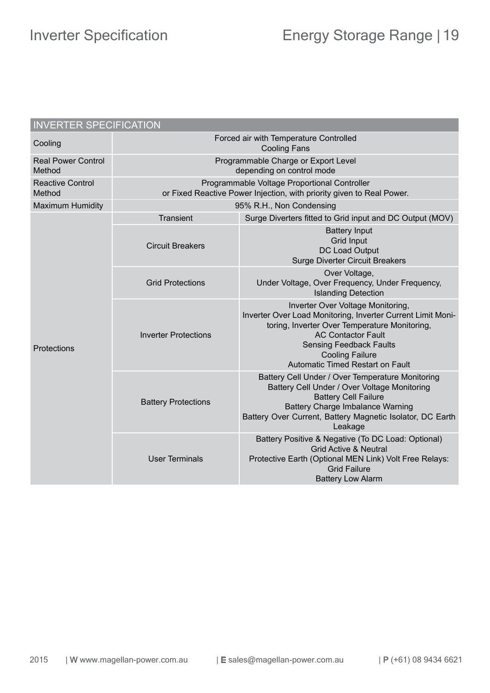| <b>INVERTER SPECIFICATION</b>       |                                                                                                                       |                                                                                                                                                                                                                                                                                |  |
|-------------------------------------|-----------------------------------------------------------------------------------------------------------------------|--------------------------------------------------------------------------------------------------------------------------------------------------------------------------------------------------------------------------------------------------------------------------------|--|
| Cooling                             | Forced air with Temperature Controlled<br><b>Cooling Fans</b>                                                         |                                                                                                                                                                                                                                                                                |  |
| <b>Real Power Control</b><br>Method | Programmable Charge or Export Level<br>depending on control mode                                                      |                                                                                                                                                                                                                                                                                |  |
| <b>Reactive Control</b><br>Method   | Programmable Voltage Proportional Controller<br>or Fixed Reactive Power Injection, with priority given to Real Power. |                                                                                                                                                                                                                                                                                |  |
| <b>Maximum Humidity</b>             | 95% R.H., Non Condensing                                                                                              |                                                                                                                                                                                                                                                                                |  |
| Protections                         | <b>Transient</b>                                                                                                      | Surge Diverters fitted to Grid input and DC Output (MOV)                                                                                                                                                                                                                       |  |
|                                     | <b>Circuit Breakers</b>                                                                                               | <b>Battery Input</b><br><b>Grid Input</b><br>DC Load Output<br><b>Surge Diverter Circuit Breakers</b>                                                                                                                                                                          |  |
|                                     | <b>Grid Protections</b>                                                                                               | Over Voltage,<br>Under Voltage, Over Frequency, Under Frequency,<br><b>Islanding Detection</b>                                                                                                                                                                                 |  |
|                                     | <b>Inverter Protections</b>                                                                                           | Inverter Over Voltage Monitoring,<br>Inverter Over Load Monitoring, Inverter Current Limit Moni-<br>toring, Inverter Over Temperature Monitoring,<br><b>AC Contactor Fault</b><br><b>Sensing Feedback Faults</b><br><b>Cooling Failure</b><br>Automatic Timed Restart on Fault |  |
|                                     | <b>Battery Protections</b>                                                                                            | Battery Cell Under / Over Temperature Monitoring<br>Battery Cell Under / Over Voltage Monitoring<br><b>Battery Cell Failure</b><br><b>Battery Charge Imbalance Warning</b><br>Battery Over Current, Battery Magnetic Isolator, DC Earth<br>Leakage                             |  |
|                                     | <b>User Terminals</b>                                                                                                 | Battery Positive & Negative (To DC Load: Optional)<br><b>Grid Active &amp; Neutral</b><br>Protective Earth (Optional MEN Link) Volt Free Relays:<br><b>Grid Failure</b><br><b>Battery Low Alarm</b>                                                                            |  |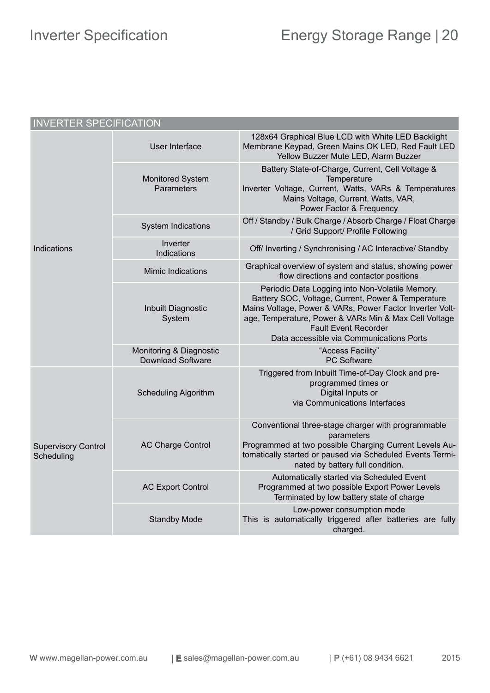| <b>INVERTER SPECIFICATION</b>            |                                                     |                                                                                                                                                                                                                                                                                                       |  |
|------------------------------------------|-----------------------------------------------------|-------------------------------------------------------------------------------------------------------------------------------------------------------------------------------------------------------------------------------------------------------------------------------------------------------|--|
|                                          | User Interface                                      | 128x64 Graphical Blue LCD with White LED Backlight<br>Membrane Keypad, Green Mains OK LED, Red Fault LED<br>Yellow Buzzer Mute LED, Alarm Buzzer                                                                                                                                                      |  |
|                                          | <b>Monitored System</b><br>Parameters               | Battery State-of-Charge, Current, Cell Voltage &<br>Temperature<br>Inverter Voltage, Current, Watts, VARs & Temperatures<br>Mains Voltage, Current, Watts, VAR,<br>Power Factor & Frequency                                                                                                           |  |
|                                          | <b>System Indications</b>                           | Off / Standby / Bulk Charge / Absorb Charge / Float Charge<br>/ Grid Support/ Profile Following                                                                                                                                                                                                       |  |
| Indications                              | Inverter<br>Indications                             | Off/ Inverting / Synchronising / AC Interactive/ Standby                                                                                                                                                                                                                                              |  |
|                                          | <b>Mimic Indications</b>                            | Graphical overview of system and status, showing power<br>flow directions and contactor positions                                                                                                                                                                                                     |  |
|                                          | Inbuilt Diagnostic<br>System                        | Periodic Data Logging into Non-Volatile Memory.<br>Battery SOC, Voltage, Current, Power & Temperature<br>Mains Voltage, Power & VARs, Power Factor Inverter Volt-<br>age, Temperature, Power & VARs Min & Max Cell Voltage<br><b>Fault Event Recorder</b><br>Data accessible via Communications Ports |  |
|                                          | Monitoring & Diagnostic<br><b>Download Software</b> | "Access Facility"<br><b>PC Software</b>                                                                                                                                                                                                                                                               |  |
| <b>Supervisory Control</b><br>Scheduling | <b>Scheduling Algorithm</b>                         | Triggered from Inbuilt Time-of-Day Clock and pre-<br>programmed times or<br>Digital Inputs or<br>via Communications Interfaces                                                                                                                                                                        |  |
|                                          | <b>AC Charge Control</b>                            | Conventional three-stage charger with programmable<br>parameters<br>Programmed at two possible Charging Current Levels Au-<br>tomatically started or paused via Scheduled Events Termi-<br>nated by battery full condition.                                                                           |  |
|                                          | <b>AC Export Control</b>                            | Automatically started via Scheduled Event<br>Programmed at two possible Export Power Levels<br>Terminated by low battery state of charge                                                                                                                                                              |  |
|                                          | <b>Standby Mode</b>                                 | Low-power consumption mode<br>This is automatically triggered after batteries are fully<br>charged.                                                                                                                                                                                                   |  |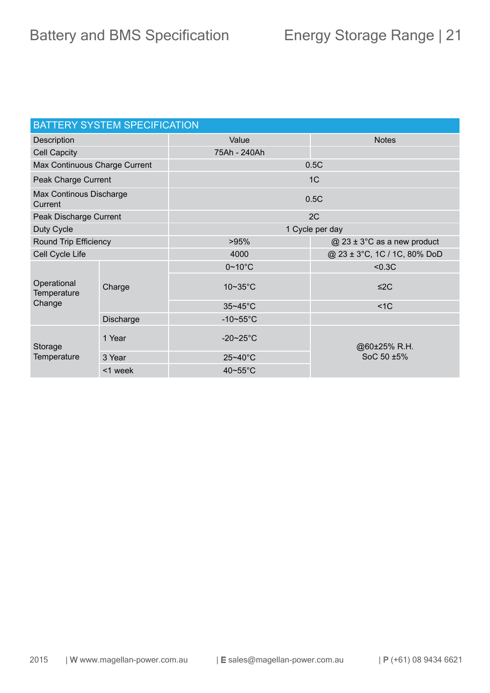| <b>BATTERY SYSTEM SPECIFICATION</b>  |           |                 |                               |  |
|--------------------------------------|-----------|-----------------|-------------------------------|--|
| Description                          |           | Value           | <b>Notes</b>                  |  |
| <b>Cell Capcity</b>                  |           | 75Ah - 240Ah    |                               |  |
| Max Continuous Charge Current        |           | 0.5C            |                               |  |
| Peak Charge Current                  |           | 1C              |                               |  |
| Max Continous Discharge<br>Current   |           | 0.5C            |                               |  |
| Peak Discharge Current               |           |                 | 2C                            |  |
| Duty Cycle                           |           | 1 Cycle per day |                               |  |
| Round Trip Efficiency                |           | >95%            | $@$ 23 ± 3°C as a new product |  |
| Cell Cycle Life                      |           | 4000            | @ 23 ± 3°C, 1C / 1C, 80% DoD  |  |
| Operational<br>Temperature<br>Change | Charge    | $0~10$ °C       | < 0.3C                        |  |
|                                      |           | 10~35°C         | $\leq$ 2C                     |  |
|                                      |           | 35~45°C         | $<$ 1 $<$                     |  |
|                                      | Discharge | $-10\nu$ -55°C  |                               |  |
| Storage<br><b>Temperature</b>        | 1 Year    | $-20-25$ °C     | @60±25% R.H.                  |  |
|                                      | 3 Year    | 25~40°C         | SoC 50 ±5%                    |  |
|                                      | <1 week   | 40~55°C         |                               |  |